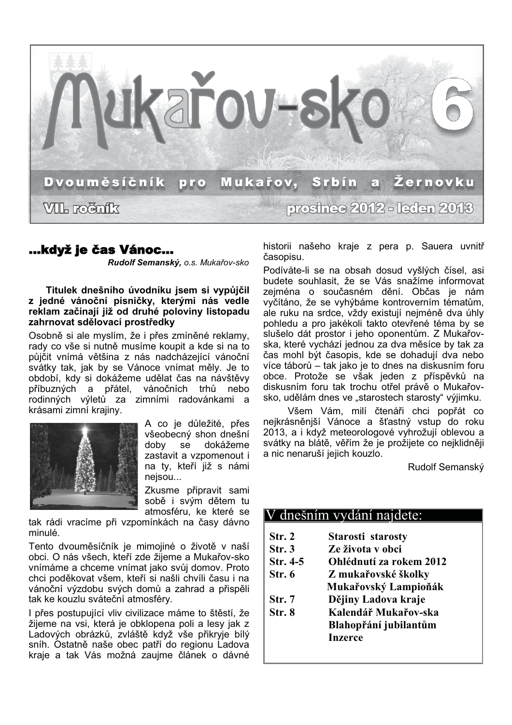

# ...když je čas Vánoc...

Rudolf Semanský, o.s. Mukařov-sko

Titulek dnešního úvodníku jsem si vypůjčil z jedné vánoční písničky, kterými nás vedle reklam začínají již od druhé poloviny listopadu zahrnovat sdělovací prostředky

Osobně si ale myslím, že i přes zmíněné reklamy, rady co vše si nutně musíme koupit a kde si na to půjčit vnímá většina z nás nadcházející vánoční svátky tak, jak by se Vánoce vnímat měly. Je to období, kdy si dokážeme udělat čas na návštěvv vánočních trhů příbuzných a přátel. nebo rodinných výletů za zimními radovánkami a krásami zimní krajiny.



A co je důležité, přes všeobecný shon dnešní doby se dokážeme zastavit a vzpomenout i na ty, kteří již s námi nejsou...

Zkusme připravit sami sobě i svým dětem tu atmosféru, ke které se

tak rádi vracíme při vzpomínkách na časy dávno minulé.

Tento dvouměsíčník je mimojiné o životě v naší obci. O nás všech, kteří zde žijeme a Mukařov-sko vnímáme a chceme vnímat jako svůj domov. Proto chci poděkovat všem, kteří si našli chvíli času i na vánoční výzdobu svých domů a zahrad a přispěli tak ke kouzlu sváteční atmosféry.

I přes postupující vliv civilizace máme to štěstí, že žijeme na vsi, která je obklopena poli a lesy jak z Ladových obrázků, zvláště když vše přikryje bílý sníh. Ostatně naše obec patří do regionu Ladova kraje a tak Vás možná zaujme článek o dávné historii našeho kraje z pera p. Sauera uvnitř časopisu.

Podíváte-li se na obsah dosud vyšlých čísel, asi budete souhlasit, že se Vás snažíme informovat zejména o současném dění. Občas je nám vyčítáno, že se vyhýbáme kontroverním tématům, ale ruku na srdce, vždy existují nejméně dva úhly pohledu a pro jakékoli takto otevřené téma by se slušelo dát prostor i jeho oponentům. Z Mukařovska, které vychází jednou za dva měsíce by tak za čas mohl být časopis, kde se dohadují dva nebo více táborů – tak jako je to dnes na diskusním foru obce. Protože se však jeden z příspěvků na diskusním foru tak trochu otřel právě o Mukařovsko, udělám dnes ve "starostech starosty" výjimku.

Všem Vám, milí čtenáři chci popřát co nejkrásněniší Vánoce a šťastný vstup do roku 2013, a i když meteorologové vyhrožují oblevou a svátky na blátě, věřím že je prožijete co nejklidněji a nic nenaruší jejich kouzlo.

Rudolf Semanský

## V dnešním vydání najdete:

- $Str. 2$ Starosti starosty
- $Str.3$ Ze života v obci
- Str. 4-5 Ohlédnutí za rokem 2012
- $Str. 6$ Z mukařovské školky
- Mukařovský Lampioňák
- $Str. 7$ Dějiny Ladova kraje
- $Str.8$ Kalendář Mukařov-ska Blahopřání jubilantům **Inzerce**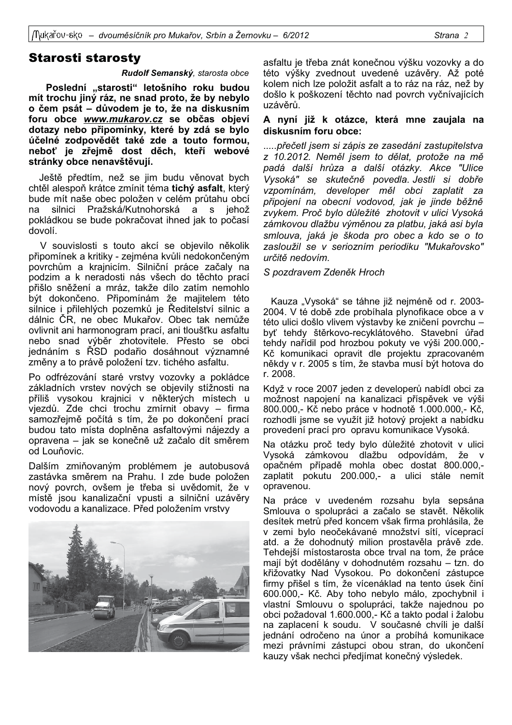## **Starosti starosty**

#### Rudolf Semanský, starosta obce

Poslední "starosti" letošního roku budou mít trochu jiný ráz, ne snad proto, že by nebylo o čem psát – důvodem je to, že na diskusním foru obce www.mukarov.cz se občas objeví dotazy nebo připomínky, které by zdá se bylo účelné zodpovědět také zde a touto formou, neboť je zřejmě dost děch, kteří webové stránky obce nenavštěvují.

Ještě předtím, než se jim budu věnovat bych chtěl alespoň krátce zmínit téma tichý asfalt, který bude mít naše obec položen v celém průtahu obcí silnici Pražská/Kutnohorská a  $S$ iehož pokládkou se bude pokračovat ihned jak to počasí dovolí.

V souvislosti s touto akcí se objevilo několik připomínek a kritiky - zejména kvůli nedokončeným povrchům a krajnicím. Silniční práce začaly na podzim a k neradosti nás všech do těchto prací přišlo sněžení a mráz, takže dílo zatím nemohlo být dokončeno. Připomínám že majitelem této silnice i přilehlých pozemků je Ředitelství silnic a dálnic ČR, ne obec Mukařov. Obec tak nemůže ovlivnit ani harmonogram prací, ani tloušťku asfaltu nebo snad výběr zhotovitele. Přesto se obci jednáním s ŘSD podařio dosáhnout významné změny a to právě položení tzv. tichého asfaltu.

Po odfrézování staré vrstvy vozovky a pokládce základních vrstev nových se objevily stížnosti na příliš vysokou krajnici v některých místech u vjezdů. Zde chci trochu zmírnit obavy - firma samozřejmě počítá s tím, že po dokončení prací budou tato místa doplněna asfaltovými nájezdy a opravena - jak se konečně už začalo dít směrem od Louňovic

Dalším zmiňovaným problémem je autobusová zastávka směrem na Prahu. I zde bude položen nový povrch, ovšem je třeba si uvědomit, že v místě jsou kanalizační vpusti a silniční uzávěry vodovodu a kanalizace. Před položením vrstvy



asfaltu je třeba znát konečnou výšku vozovky a do této výšky zvednout uvedené uzávěry. Až poté kolem nich lze položit asfalt a to ráz na ráz, než by došlo k poškození těchto nad povrch vyčnívajících uzávěrů.

#### A nyní již k otázce, která mne zaujala na diskusním foru obce:

..... přečetl jsem si zápis ze zasedání zastupitelstva z 10.2012. Neměl isem to dělat, protože na mě padá další hrůza a další otázky. Akce "Ulice Vysoká" se skutečně povedla. Jestli si dobře vzpomínám, developer měl obci zaplatit za připojení na obecní vodovod, jak je jinde běžně zvykem. Proč bylo důležité zhotovit v ulici Vysoká zámkovou dlažbu výměnou za platbu, jaká asi byla smlouva, jaká je škoda pro obec a kdo se o to zasloužil se v seriozním periodiku "Mukařovsko" určitě nedovím.

#### S pozdravem Zdeněk Hroch

Kauza "Vysoká" se táhne již nejméně od r. 2003-2004. V té době zde probíhala plynofikace obce a v této ulici došlo vlivem výstavby ke zničení povrchu byť tehdy štěrkovo-recyklátového. Stavební úřad tehdy nařídil pod hrozbou pokuty ve výši 200.000,-Kč komunikaci opravit dle projektu zpracovaném někdy v r. 2005 s tím, že stavba musí být hotova do r. 2008.

Když v roce 2007 jeden z developerů nabídl obci za možnost napojení na kanalizaci příspěvek ve výši 800.000,- Kč nebo práce v hodnotě 1.000.000,- Kč, rozhodli isme se vvužít již hotový projekt a nabídku provedení prací pro opravu komunikace Vysoká.

Na otázku proč tedy bylo důležité zhotovit v ulici Vysoká zámkovou dlažbu odpovídám, že opačném případě mohla obec dostat 800.000,zaplatit pokutu 200.000,- a ulici stále nemít opravenou.

Na práce v uvedeném rozsahu byla sepsána Smlouva o spolupráci a začalo se stavět. Několik desítek metrů před koncem však firma prohlásila, že v zemi bylo neočekávané množství sítí, víceprací atd. a že dohodnutý milion prostavěla právě zde. Tehdejší místostarosta obce trval na tom, že práce mají být dodělány v dohodnutém rozsahu – tzn. do křižovatky Nad Vysokou. Po dokončení zástupce firmy přišel s tím, že vícenáklad na tento úsek činí 600.000,- Kč. Aby toho nebylo málo, zpochybnil i vlastní Smlouvu o spolupráci, takže najednou po obci požadoval 1.600.000,- Kč a takto podal i žalobu na zaplacení k soudu. V současné chvíli je další jednání odročeno na únor a probíhá komunikace mezi právními zástupci obou stran, do ukončení kauzy však nechci předjímat konečný výsledek.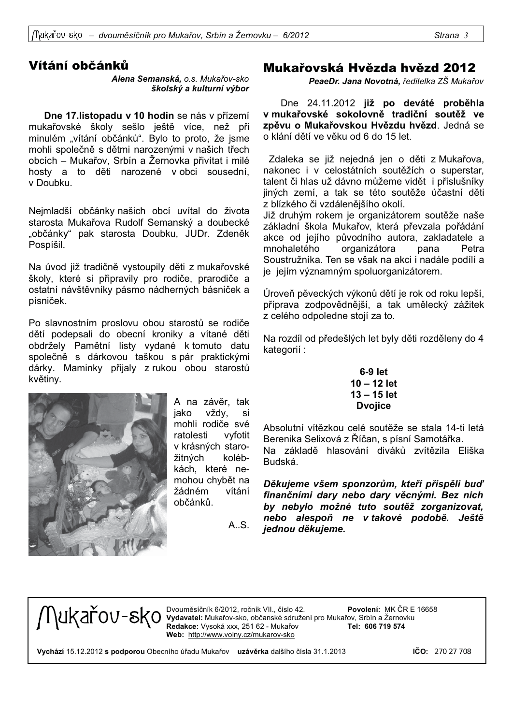# Vítání občánků

Alena Semanská, o.s. Mukařov-sko školský a kulturní výbor

Dne 17. listopadu v 10 hodin se nás v přízemí mukařovské školy sešlo ještě více, než při minulém "vítání občánků". Bylo to proto, že jsme mohli společně s dětmi narozenými v našich třech obcích – Mukařov, Srbín a Žernovka přivítat i milé hosty a to děti narozené v obci sousední, v Doubku.

Nejmladší občánky našich obcí uvítal do života starosta Mukařova Rudolf Semanský a doubecké "občánky" pak starosta Doubku, JUDr. Zdeněk Pospíšil.

Na úvod již tradičně vystoupily děti z mukařovské školy, které si připravily pro rodiče, prarodiče a ostatní návštěvníky pásmo nádherných básniček a písniček.

Po slavnostním proslovu obou starostů se rodiče dětí podepsali do obecní kroniky a vítané děti obdržely Pamětní listy vydané k tomuto datu společně s dárkovou taškou s pár praktickými dárky. Maminky přijaly z rukou obou starostů květiny.



A na závěr, tak iako vždv. si mohli rodiče své ratolesti vyfotit v krásných starokolébžitných kách, které nemohou chybět na žádném vítání občánků.

 $A$   $S$ 

# Mukařovská Hvězda hvězd 2012

PeaeDr. Jana Novotná, ředitelka ZŠ Mukařov

Dne 24.11.2012 již po deváté proběhla v mukařovské sokolovně tradiční soutěž ve zpěvu o Mukařovskou Hvězdu hvězd. Jedná se o klání dětí ve věku od 6 do 15 let.

Zdaleka se již nejedná jen o děti z Mukařova, nakonec i v celostátních soutěžích o superstar, talent či hlas už dávno můžeme vidět i příslušníky jiných zemí, a tak se této soutěže účastní děti z blízkého či vzdálenějšího okolí.

Již druhým rokem je organizátorem soutěže naše základní škola Mukařov, která převzala pořádání akce od jejího původního autora, zakladatele a mnohaletého organizátora pana Petra Soustružníka. Ten se však na akci i nadále podílí a je jejím významným spoluorganizátorem.

Úroveň pěveckých výkonů dětí je rok od roku lepší, příprava zodpovědnější, a tak umělecký zážitek z celého odpoledne stojí za to.

Na rozdíl od předešlých let byly děti rozděleny do 4 kategorií:

 $6-9$  let  $10 - 12$  let  $13 - 15$  let **D**voiice

Absolutní vítězkou celé soutěže se stala 14-ti letá Berenika Selixová z Říčan, s písní Samotářka. Na základě hlasování diváků zvítězila Eliška **Budská** 

Děkujeme všem sponzorům, kteří přispěli buď finančními dary nebo dary věcnými. Bez nich by nebylo možné tuto soutěž zorganizovat, nebo alespoň ne v takové podobě. Ještě jednou děkujeme.



 $\bigcap \mathcal{U}$ Kannes (Devouměsíčník 6/2012, ročník VII., číslo 42. které povolení: MK ČR E Povolení: MK ČR E 16658 Redakce: Vysoká xxx, 251 62 - Mukařov Tel: 606 719 574 Web: http://www.volny.cz/mukarov-sko

Vychází 15.12.2012 s podporou Obecního úřadu Mukařov uzávěrka dalšího čísla 31.1.2013

 $ICO: 27027708$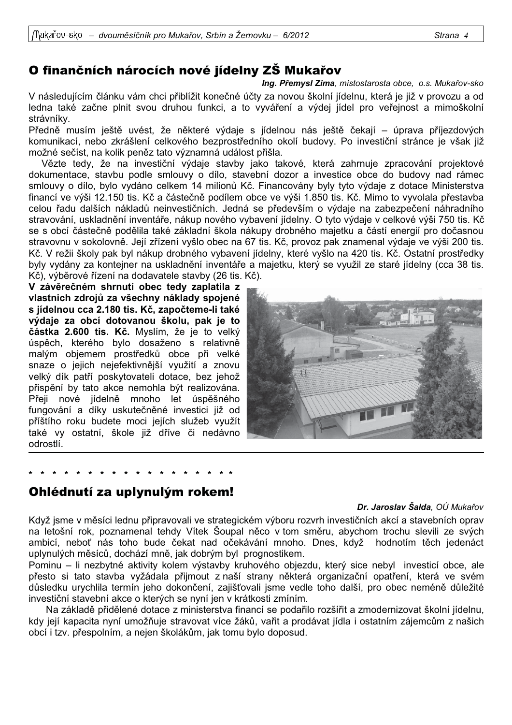# O finančních nárocích nové jídelny ZŠ Mukařov

Ing. Přemysl Zima, místostarosta obce, o.s. Mukařov-sko

V následujícím článku vám chci přiblížit konečné účty za novou školní jídelnu, která je již v provozu a od ledna také začne plnit svou druhou funkci, a to vyváření a výdej jídel pro veřejnost a mimoškolní strávníky.

Předně musím ještě uvést, že některé výdaje s jídelnou nás ještě čekají – úprava příjezdových komunikací, nebo zkrášlení celkového bezprostředního okolí budovy. Po investiční stránce je však již možné sečíst, na kolik peněz tato významná událost přišla.

Vězte tedy, že na investiční výdaje stavby jako takové, která zahrnuje zpracování projektové dokumentace, stavbu podle smlouvy o dílo, stavební dozor a investice obce do budovy nad rámec smlouvy o dílo, bylo vydáno celkem 14 milionů Kč. Financovány byly tyto výdaje z dotace Ministerstva financí ve výši 12.150 tis. Kč a částečně podílem obce ve výši 1.850 tis. Kč. Mimo to vyvolala přestavba celou řadu dalších nákladů neinvestičních. Jedná se především o výdaje na zabezpečení náhradního stravování, uskladnění inventáře, nákup nového vybavení jídelny. O tyto výdaje v celkové výši 750 tis. Kč se s obcí částečně podělila také základní škola nákupy drobného majetku a částí energií pro dočasnou stravovnu v sokolovně. Její zřízení vyšlo obec na 67 tis. Kč, provoz pak znamenal výdaje ve výši 200 tis. Kč. V režii školy pak byl nákup drobného vybavení jídelny, které vyšlo na 420 tis. Kč. Ostatní prostředky byly vydány za kontejner na uskladnění inventáře a majetku, který se využil ze staré jídelny (cca 38 tis. Kč), výběrové řízení na dodavatele stavby (26 tis. Kč).

V závěrečném shrnutí obec tedy zaplatila z vlastnich zdrojů za všechny náklady spojené s jídelnou cca 2.180 tis. Kč, započteme-li také výdaje za obcí dotovanou školu, pak je to částka 2.600 tis. Kč. Myslím, že je to velký úspěch, kterého bylo dosaženo s relativně malým objemem prostředků obce při velké snaze o jejich nejefektivnější využití a znovu velký dík patří poskytovateli dotace, bez jehož přispění by tato akce nemohla být realizována. Přeji nové jídelně mnoho let úspěšného fungování a díky uskutečněné investici již od příštího roku budete moci jejích služeb využít také vy ostatní, škole již dříve či nedávno odrostlí.



## Ohlédnutí za uplynulým rokem!

## Dr. Jaroslav Šalda, OÚ Mukařov

Když jsme v měsíci lednu připravovali ve strategickém výboru rozvrh investičních akcí a stavebních oprav na letošní rok, poznamenal tehdy Vítek Šoupal něco v tom směru, abychom trochu slevili ze svých ambicí, neboť nás toho bude čekat nad očekávání mnoho. Dnes, když hodnotím těch jedenáct uplynulých měsíců, dochází mně, jak dobrým byl prognostikem.

Pominu – li nezbytné aktivity kolem výstavby kruhového objezdu, který sice nebyl investicí obce, ale přesto si tato stavba vyžádala přijmout z naší strany některá organizační opatření, která ve svém důsledku urychlila termín jeho dokončení, zajišťovali jsme vedle toho další, pro obec neméně důležité investiční stavební akce o kterých se nyní jen v krátkosti zmíním.

Na základě přidělené dotace z ministerstva financí se podařilo rozšířit a zmodernizovat školní jídelnu, kdy její kapacita nyní umožňuje stravovat více žáků, vařit a prodávat jídla i ostatním zájemcům z našich obcí i tzv. přespolním, a nejen školákům, jak tomu bylo doposud.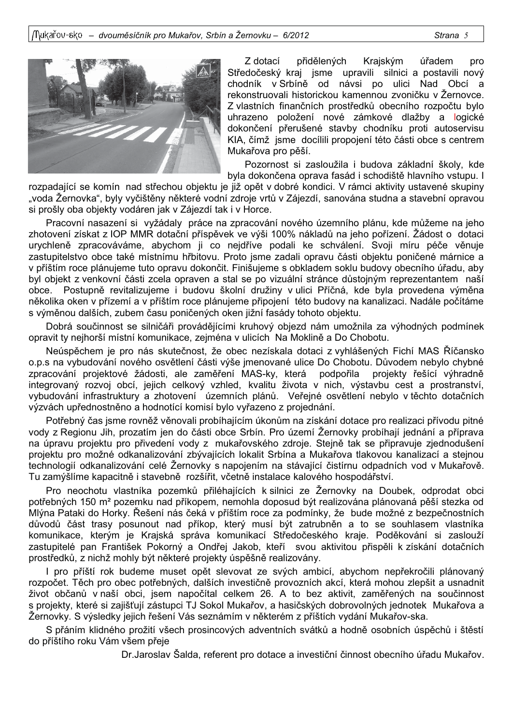

Z dotací přidělených Krajským úřadem pro Středočeský kraj jsme upravili silnici a postavili nový chodník v Srbíně od návsi po ulici Nad Obcí a rekonstruovali historickou kamennou zvoničku v Žernovce. Z vlastních finančních prostředků obecního rozpočtu bylo uhrazeno položení nové zámkové dlažby a logické dokončení přerušené stavby chodníku proti autoservisu KIA, čímž jsme docílili propojení této části obce s centrem Mukařova pro pěší.

Pozornost si zasloužila i budova základní školy, kde byla dokončena oprava fasád i schodiště hlavního vstupu. I

rozpadající se komín nad střechou objektu je již opět v dobré kondici. V rámci aktivity ustavené skupiny "voda Žernovka", byly vyčištěny některé vodní zdroje vrtů v Zájezdí, sanována studna a stavební opravou si prošly oba objekty vodáren jak v Zájezdí tak i v Horce.

Pracovní nasazení si vyžádaly práce na zpracování nového územního plánu, kde můžeme na jeho zhotovení získat z IOP MMR dotační příspěvek ve výši 100% nákladů na jeho pořízení. Žádost o dotaci urychleně zpracováváme, abychom ji co nejdříve podali ke schválení. Svoji míru péče věnuje zastupitelstvo obce také místnímu hřbitovu. Proto jsme zadali opravu části objektu poničené márnice a v příštím roce plánujeme tuto opravu dokončit. Finišujeme s obkladem soklu budovy obecního úřadu, aby byl objekt z venkovní části zcela opraven a stal se po vizuální stránce důstojným reprezentantem naší obce. Postupně revitalizujeme i budovu školní družiny v ulici Příčná, kde byla provedena výměna několika oken v přízemí a v příštím roce plánujeme připojení této budovy na kanalizaci. Nadále počítáme s výměnou dalších, zubem času poničených oken jižní fasády tohoto objektu.

Dobrá součinnost se silničáři provádějícími kruhový objezd nám umožnila za výhodných podmínek opravit ty nejhorší místní komunikace, zejména v ulicích Na Moklině a Do Chobotu.

Neúspěchem je pro nás skutečnost, že obec nezískala dotaci z vyhlášených Fichí MAS Říčansko o.p.s na vybudování nového osvětlení části výše jmenované ulice Do Chobotu. Důvodem nebylo chybné zpracování projektové žádosti, ale zaměření MAS-ky, která podpořila projekty řešící výhradně integrovaný rozvoj obcí, jejich celkový vzhled, kvalitu života v nich, výstavbu cest a prostranství, vybudování infrastruktury a zhotovení územních plánů. Veřejné osvětlení nebylo v těchto dotačních výzvách upřednostněno a hodnotící komisí bylo vyřazeno z projednání.

Potřebný čas isme rovněž věnovali probíhajícím úkonům na získání dotace pro realizaci přívodu pitné vody z Regionu Jih, prozatím jen do části obce Srbín. Pro území Žernovky probíhají jednání a příprava na úpravu projektu pro přivedení vody z mukařovského zdroje. Stejně tak se připravuje zjednodušení projektu pro možné odkanalizování zbývajících lokalit Srbína a Mukařova tlakovou kanalizací a stejnou technologií odkanalizování celé Žernovky s napojením na stávající čistírnu odpadních vod v Mukařově. Tu zamýšlíme kapacitně i stavebně rozšířit, včetně instalace kalového hospodářství.

Pro neochotu vlastníka pozemků přiléhajících k silnici ze Žernovky na Doubek, odprodat obci potřebných 150 m<sup>2</sup> pozemku nad příkopem, nemohla doposud být realizována plánovaná pěší stezka od Mlýna Pataki do Horky. Řešení nás čeká v příštím roce za podmínky, že bude možné z bezpečnostních důvodů část trasy posunout nad příkop, který musí být zatrubněn a to se souhlasem vlastníka komunikace, kterým je Krajská správa komunikací Středočeského kraje. Poděkování si zaslouží zastupitelé pan František Pokorný a Ondřej Jakob, kteří svou aktivitou přispěli k získání dotačních prostředků, z nichž mohly být některé projekty úspěšně realizovány.

I pro příští rok budeme muset opět slevovat ze svých ambicí, abychom nepřekročili plánovaný rozpočet. Těch pro obec potřebných, dalších investičně provozních akcí, která mohou zlepšit a usnadnit život občanů v naší obci, jsem napočítal celkem 26. A to bez aktivit, zaměřených na součinnost s projekty, které si zajišťují zástupci TJ Sokol Mukařov, a hasičských dobrovolných jednotek Mukařova a Žernovky. S výsledky jejich řešení Vás seznámím v některém z příštích vydání Mukařov-ska.

S přáním klidného prožití všech prosincových adventních svátků a hodně osobních úspěchů i štěstí do příštího roku Vám všem přeje

Dr. Jaroslav Šalda, referent pro dotace a investiční činnost obecního úřadu Mukařov.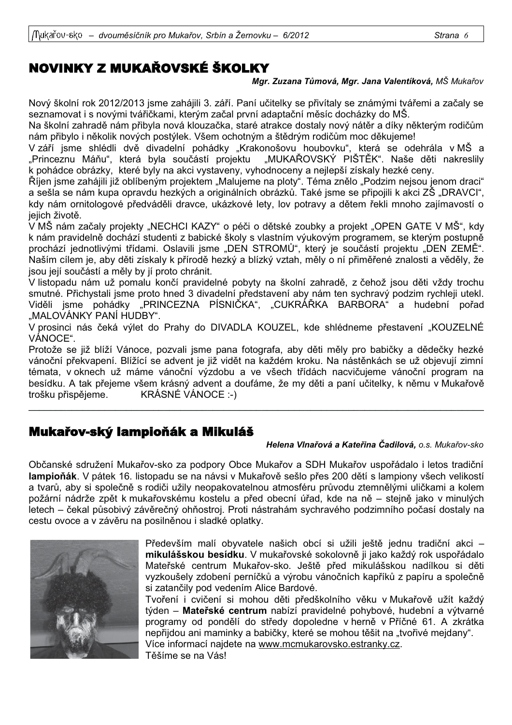# NOVINKY Z MUKAŘOVSKÉ ŠKOLKY

## Mgr. Zuzana Tůmová, Mgr. Jana Valentíková, MŠ Mukařov

Nový školní rok 2012/2013 jsme zahájili 3. září. Paní učitelky se přivítaly se známými tvářemi a začaly se seznamovat i s novými tvářičkami, kterým začal první adaptační měsíc docházky do MŠ.

Na školní zahradě nám přibyla nová klouzačka, staré atrakce dostaly nový nátěr a díky některým rodičům nám přibylo i několik nových postýlek. Všem ochotným a štědrým rodičům moc děkujeme!

V září jsme shlédli dvě divadelní pohádky "Krakonošovu houbovku", která se odehrála v MŠ a "Princeznu Máňu", která byla součástí projektu "MUKAŘOVSKÝ PIŠTĚK". Naše děti nakreslily k pohádce obrázky, které byly na akci vystaveny, vyhodnoceny a nejlepší získaly hezké ceny.

"Říjen jsme zahájili již oblíbeným projektem "Malujeme na ploty". Téma znělo "Podzim nejsou jenom draci a sešla se nám kupa opravdu hezkých a originálních obrázků. Také jsme se připojili k akci ZŠ "DRAVCI", kdy nám ornitologové předváděli dravce, ukázkové lety, lov potravy a dětem řekli mnoho zajímavostí o jejich životě.

V MŠ nám začaly projekty "NECHCI KAZY" o péči o dětské zoubky a projekt "OPEN GATE V MŠ", kdy k nám pravidelně dochází studenti z babické školy s vlastním výukovým programem, se kterým postupně prochází jednotlivými třídami. Oslavili jsme "DEN STROMŮ", který je součástí projektu "DEN ZEMĚ". Naším cílem je, aby děti získaly k přírodě hezký a blízký vztah, měly o ní přiměřené znalosti a věděly, že jsou její součástí a měly by jí proto chránit.

V listopadu nám už pomalu končí pravidelné pobyty na školní zahradě, z čehož jsou děti vždy trochu smutné. Přichystali jsme proto hned 3 divadelní představení aby nám ten sychravý podzim rychleji utekl. Viděli jsme pohádky "PRINCEZNA PÍSNIČKA", "CUKRÁŘKA BARBORA" a hudební pořad "MALOVÁNKY PANÍ HUDBY".

V prosinci nás čeká výlet do Prahy do DIVADLA KOUZEL, kde shlédneme přestavení "KOUZELNÉ VÁNOCE".

Protože se již blíží Vánoce, pozvali jsme pana fotografa, aby děti měly pro babičky a dědečky hezké vánoční překvapení. Blížící se advent je již vidět na každém kroku. Na nástěnkách se už objevují zimní témata, v oknech už máme vánoční výzdobu a ve všech třídách nacvičujeme vánoční program na besídku. A tak přejeme všem krásný advent a doufáme, že my děti a paní učitelky, k němu v Mukařově trošku přispějeme. KRÁSNÉ VÁNOCE :-)

# Mukařov-ský lampioňák a Mikuláš

## Helena Vlnařová a Kateřina Čadilová, o.s. Mukařov-sko

Občanské sdružení Mukařov-sko za podpory Obce Mukařov a SDH Mukařov uspořádalo i letos tradiční lampioňák. V pátek 16. listopadu se na návsi v Mukařově sešlo přes 200 dětí s lampiony všech velikostí a tvarů, aby si společně s rodiči užily neopakovatelnou atmosféru průvodu ztemnělými uličkami a kolem požární nádrže zpět k mukařovskému kostelu a před obecní úřad, kde na ně – stejně jako v minulých letech – čekal působivý závěrečný ohňostroj. Proti nástrahám sychravého podzimního počasí dostaly na cestu ovoce a v závěru na posilněnou i sladké oplatky.



Především malí obyvatele našich obcí si užili ještě jednu tradiční akci – mikulášskou besídku. V mukařovské sokolovně ji jako každý rok uspořádalo Mateřské centrum Mukařov-sko. Ještě před mikulášskou nadílkou si děti vyzkoušely zdobení perníčků a výrobu vánočních kapříků z papíru a společně si zatančily pod vedením Alice Bardové.

Tvoření i cvičení si mohou děti předškolního věku v Mukařově užít každý týden – Mateřské centrum nabízí pravidelné pohybové, hudební a výtvarné programy od pondělí do středy dopoledne v herně v Příčné 61. A zkrátka nepřijdou ani maminky a babičky, které se mohou těšit na "tvořivé mejdany". Více informací najdete na www.mcmukarovsko.estranky.cz. Těšíme se na Vás!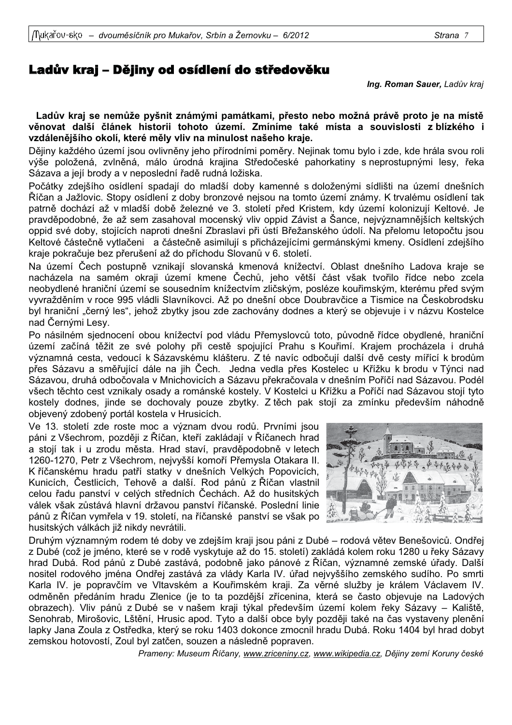Ing. Roman Sauer, Ladův kraj

Ladův kraj se nemůže pyšnit známými památkami, přesto nebo možná právě proto je na místě věnovat další článek historii tohoto území. Zmíníme také místa a souvislosti z blízkého i vzdálenějšího okolí, které měly vliv na minulost našeho kraje.

Dějiny každého území jsou ovlivněny jeho přírodními poměry. Nejinak tomu bylo i zde, kde hrála svou roli výše položená, zvlněná, málo úrodná krajina Středočeské pahorkatiny s neprostupnými lesy, řeka Sázava a její brody a v neposlední řadě rudná ložiska.

Počátky zdejšího osídlení spadají do mladší doby kamenné s doloženými sídlišti na území dnešních Říčan a Jažlovic. Stopy osídlení z doby bronzové nejsou na tomto území známy. K trvalému osídlení tak patrně dochází až v mladší době železné ve 3. století před Kristem, kdy území kolonizují Keltové. Je pravděpodobné, že až sem zasahoval mocenský vliv oppid Závist a Šance, nejvýznamnějších keltských oppid své doby, stojících naproti dnešní Zbraslavi při ústí Břežanského údolí. Na přelomu letopočtu jsou Keltové částečně vytlačeni a částečně asimilují s přicházejícími germánskými kmeny. Osídlení zdejšího kraje pokračuje bez přerušení až do příchodu Slovanů v 6. století.

Na území Čech postupně vznikají slovanská kmenová knížectví. Oblast dnešního Ladova kraje se nacházela na samém okraji území kmene Čechů, jeho větší část však tvořilo řídce nebo zcela neobydlené hraniční území se sousedním knížectvím zličským, posléze kouřimským, kterému před svým vyvražděním v roce 995 vládli Slavníkovci. Až po dnešní obce Doubravčice a Tismice na Českobrodsku byl hraniční "černý les", jehož zbytky jsou zde zachovány dodnes a který se objevuje i v názvu Kostelce nad Černými Lesy.

Po násilném sjednocení obou knížectví pod vládu Přemyslovců toto, původně řídce obydlené, hraniční území začíná těžit ze své polohy při cestě spojující Prahu s Kouřimí. Krajem procházela i druhá významná cesta, vedoucí k Sázavskému klášteru. Z té navíc odbočují další dvě cesty mířící k brodům přes Sázavu a směřující dále na jih Čech. Jedna vedla přes Kostelec u Křížku k brodu v Týnci nad Sázavou, druhá odbočovala v Mnichovicích a Sázavu překračovala v dnešním Poříčí nad Sázavou. Podél všech těchto cest vznikaly osady a románské kostely. V Kostelci u Křížku a Poříčí nad Sázavou stojí tyto kostely dodnes, jinde se dochovaly pouze zbytky. Z těch pak stojí za zmínku především náhodně objevený zdobený portál kostela v Hrusicích.

Ve 13. století zde roste moc a význam dvou rodů. Prvními jsou páni z Všechrom, později z Říčan, kteří zakládají v Říčanech hrad a stojí tak i u zrodu města. Hrad staví, pravděpodobně v letech 1260-1270, Petr z Všechrom, nejvyšší komoří Přemysla Otakara II. K říčanskému hradu patří statky v dnešních Velkých Popovicích, Kunicích, Čestlicích, Tehově a další. Rod pánů z Říčan vlastnil celou řadu panství v celých středních Čechách. Až do husitských válek však zůstává hlavní državou panství říčanské. Poslední linie pánů z Říčan vymřela v 19. století, na říčanské panství se však po husitských válkách již nikdy nevrátili.



Druhým významným rodem té doby ve zdejším kraji jsou páni z Dubé – rodová větev Benešoviců. Ondřej z Dubé (což je jméno, které se v rodě vyskytuje až do 15. století) zakládá kolem roku 1280 u řeky Sázavy hrad Dubá. Rod pánů z Dubé zastává, podobně jako pánové z Říčan, významné zemské úřady. Další nositel rodového jména Ondřej zastává za vlády Karla IV. úřad nejvyššího zemského sudího. Po smrti Karla IV. je popravčím ve Vltavském a Kouřimském kraji. Za věrné služby je králem Václavem IV. odměněn předáním hradu Zlenice (je to ta pozdější zřícenina, která se často objevuje na Ladových obrazech). Vliv pánů z Dubé se v našem kraji týkal především území kolem řeky Sázavy – Kaliště, Senohrab, Mirošovic, Lštění, Hrusic apod. Tyto a další obce byly později také na čas vystaveny plenění lapky Jana Zoula z Ostředka, který se roku 1403 dokonce zmocnil hradu Dubá, Roku 1404 byl hrad dobyt zemskou hotovostí, Zoul byl zatčen, souzen a následně popraven.

Prameny: Museum Říčany, www.zriceniny.cz, www.wikipedia.cz, Dějiny zemí Koruny české